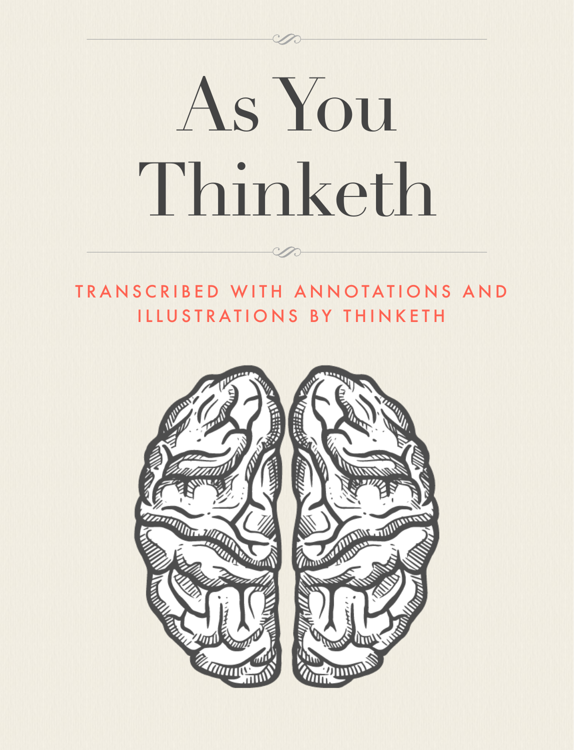# As You Thinketh

### TRANSCRIBED WITH ANNOTATIONS AND ILLUSTRATIONS BY THINKETH

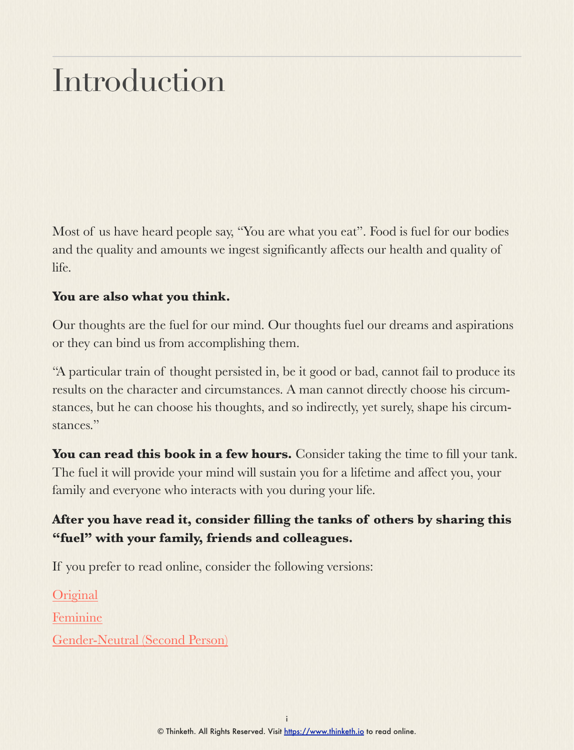### Introduction

Most of us have heard people say, "You are what you eat". Food is fuel for our bodies and the quality and amounts we ingest significantly affects our health and quality of life.

#### **You are also what you think.**

Our thoughts are the fuel for our mind. Our thoughts fuel our dreams and aspirations or they can bind us from accomplishing them.

"A particular train of thought persisted in, be it good or bad, cannot fail to produce its results on the character and circumstances. A man cannot directly choose his circumstances, but he can choose his thoughts, and so indirectly, yet surely, shape his circumstances."

You can read this book in a few hours. Consider taking the time to fill your tank. The fuel it will provide your mind will sustain you for a lifetime and affect you, your family and everyone who interacts with you during your life.

#### **After you have read it, consider filling the tanks of others by sharing this "fuel" with your family, friends and colleagues.**

If you prefer to read online, consider the following versions:

**[Original](https://www.thinketh.io/chapter-1.html)** 

[Feminine](https://www.thinketh.io/chapter-1---feminine.html)

[Gender-Neutral \(Second Person\)](https://www.thinketh.io/chapter-1---neutral.html)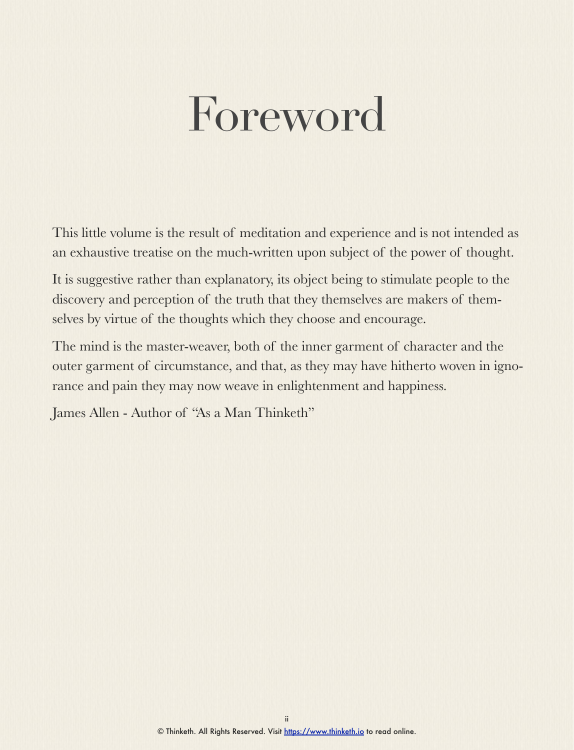### Foreword

This little volume is the result of meditation and experience and is not intended as an exhaustive treatise on the much-written upon subject of the power of thought.

It is suggestive rather than explanatory, its object being to stimulate people to the discovery and perception of the truth that they themselves are makers of themselves by virtue of the thoughts which they choose and encourage.

The mind is the master-weaver, both of the inner garment of character and the outer garment of circumstance, and that, as they may have hitherto woven in ignorance and pain they may now weave in enlightenment and happiness.

James Allen - Author of "As a Man Thinketh"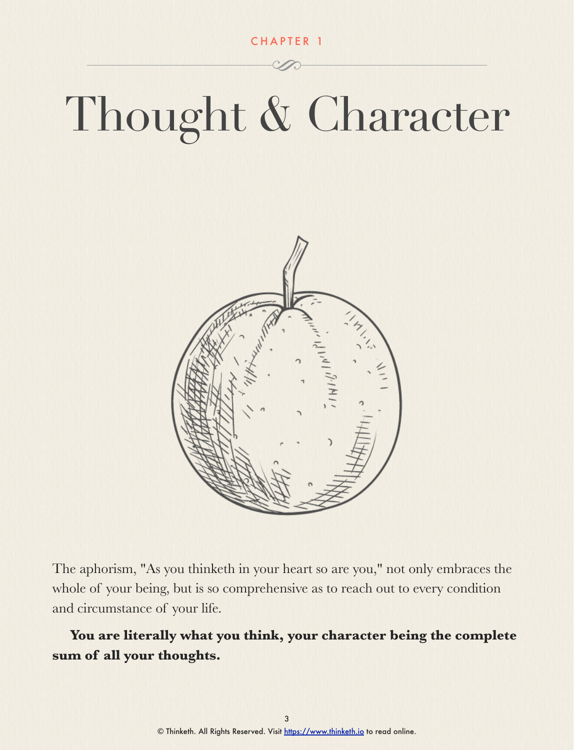CHAPTER 1

## Thought & Character



The aphorism, "As you thinketh in your heart so are you," not only embraces the whole of your being, but is so comprehensive as to reach out to every condition and circumstance of your life.

**You are literally what you think, your character being the complete sum of all your thoughts.**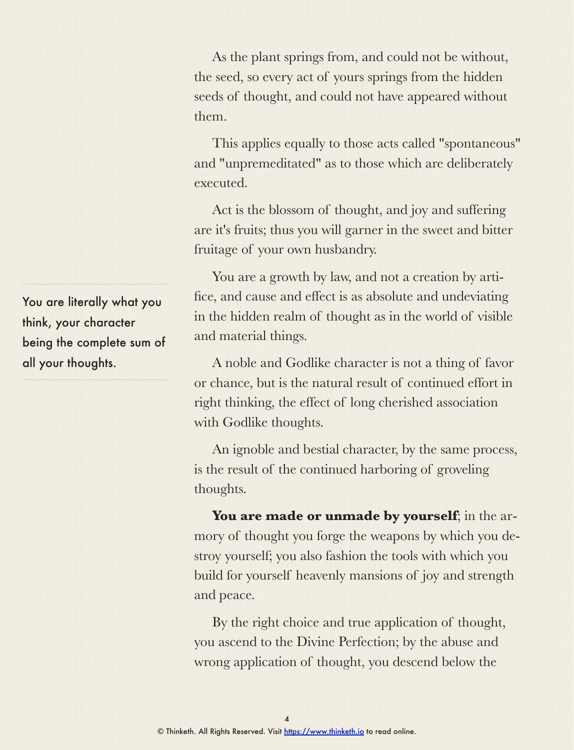As the plant springs from, and could not be without, the seed, so every act of yours springs from the hidden seeds of thought, and could not have appeared without them.

This applies equally to those acts called "spontaneous" and "unpremeditated" as to those which are deliberately executed.

Act is the blossom of thought, and joy and suffering are it's fruits; thus you will garner in the sweet and bitter fruitage of your own husbandry.

You are a growth by law, and not a creation by artifice, and cause and effect is as absolute and undeviating in the hidden realm of thought as in the world of visible and material things.

A noble and Godlike character is not a thing of favor or chance, but is the natural result of continued effort in right thinking, the effect of long cherished association with Godlike thoughts.

An ignoble and bestial character, by the same process, is the result of the continued harboring of groveling thoughts.

You are made or unmade by yourself; in the armory of thought you forge the weapons by which you destroy yourself; you also fashion the tools with which you build for yourself heavenly mansions of joy and strength and peace.

By the right choice and true application of thought, you ascend to the Divine Perfection; by the abuse and wrong application of thought, you descend below the

You are literally what you think, your character being the complete sum of all your thoughts.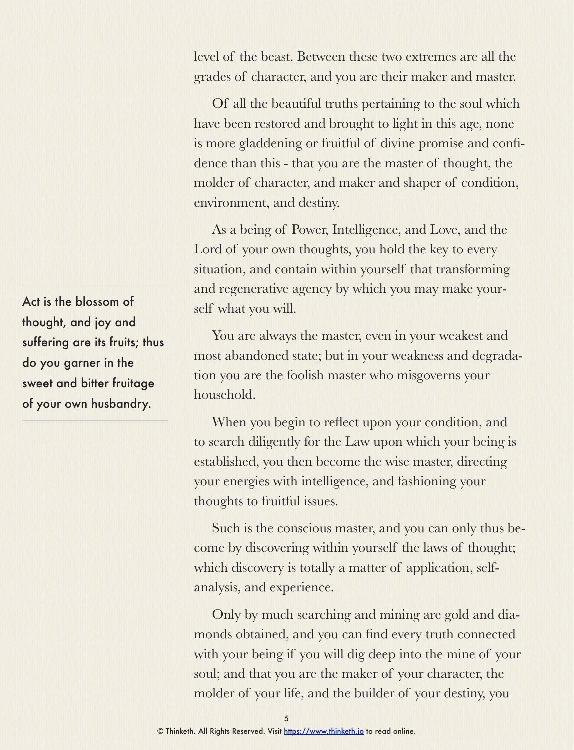level of the beast. Between these two extremes are all the grades of character, and you are their maker and master.

Of all the beautiful truths pertaining to the soul which have been restored and brought to light in this age, none is more gladdening or fruitful of divine promise and confidence than this - that you are the master of thought, the molder of character, and maker and shaper of condition, environment, and destiny.

As a being of Power, Intelligence, and Love, and the Lord of your own thoughts, you hold the key to every situation, and contain within yourself that transforming and regenerative agency by which you may make yourself what you will.

You are always the master, even in your weakest and most abandoned state; but in your weakness and degradation you are the foolish master who misgoverns your household.

When you begin to reflect upon your condition, and to search diligently for the Law upon which your being is established, you then become the wise master, directing your energies with intelligence, and fashioning your thoughts to fruitful issues.

Such is the conscious master, and you can only thus become by discovering within yourself the laws of thought; which discovery is totally a matter of application, selfanalysis, and experience.

Only by much searching and mining are gold and diamonds obtained, and you can find every truth connected with your being if you will dig deep into the mine of your soul; and that you are the maker of your character, the molder of your life, and the builder of your destiny, you

Act is the blossom of thought, and joy and suffering are its fruits; thus do you garner in the sweet and bitter fruitage of your own husbandry.

<sup>©</sup> Thinketh. All Rights Reserved. Visit [https://www.thinketh.io](http://www.thinketh.io) to read online.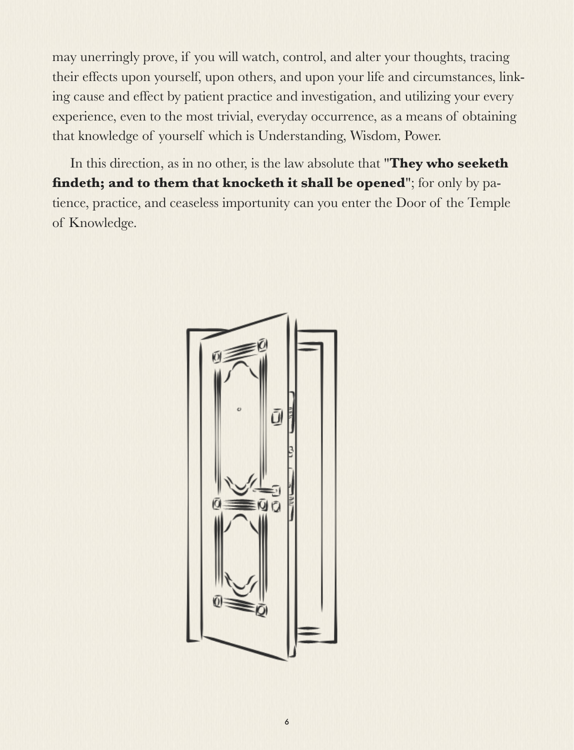may unerringly prove, if you will watch, control, and alter your thoughts, tracing their effects upon yourself, upon others, and upon your life and circumstances, linking cause and effect by patient practice and investigation, and utilizing your every experience, even to the most trivial, everyday occurrence, as a means of obtaining that knowledge of yourself which is Understanding, Wisdom, Power.

In this direction, as in no other, is the law absolute that "**They who seeketh findeth; and to them that knocketh it shall be opened**"; for only by patience, practice, and ceaseless importunity can you enter the Door of the Temple of Knowledge.

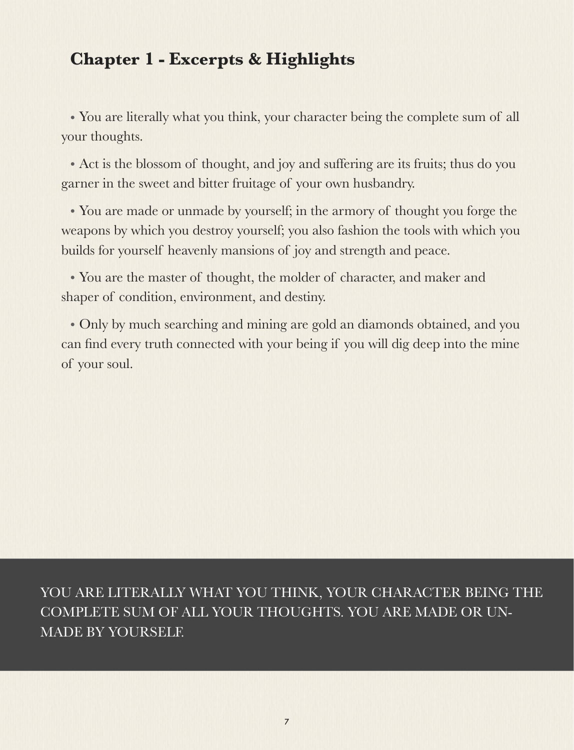### **Chapter 1 - Excerpts & Highlights**

• You are literally what you think, your character being the complete sum of all your thoughts.

• Act is the blossom of thought, and joy and suffering are its fruits; thus do you garner in the sweet and bitter fruitage of your own husbandry.

• You are made or unmade by yourself; in the armory of thought you forge the weapons by which you destroy yourself; you also fashion the tools with which you builds for yourself heavenly mansions of joy and strength and peace.

• You are the master of thought, the molder of character, and maker and shaper of condition, environment, and destiny.

• Only by much searching and mining are gold an diamonds obtained, and you can find every truth connected with your being if you will dig deep into the mine of your soul.

YOU ARE LITERALLY WHAT YOU THINK, YOUR CHARACTER BEING THE COMPLETE SUM OF ALL YOUR THOUGHTS. YOU ARE MADE OR UN-MADE BY YOURSELF.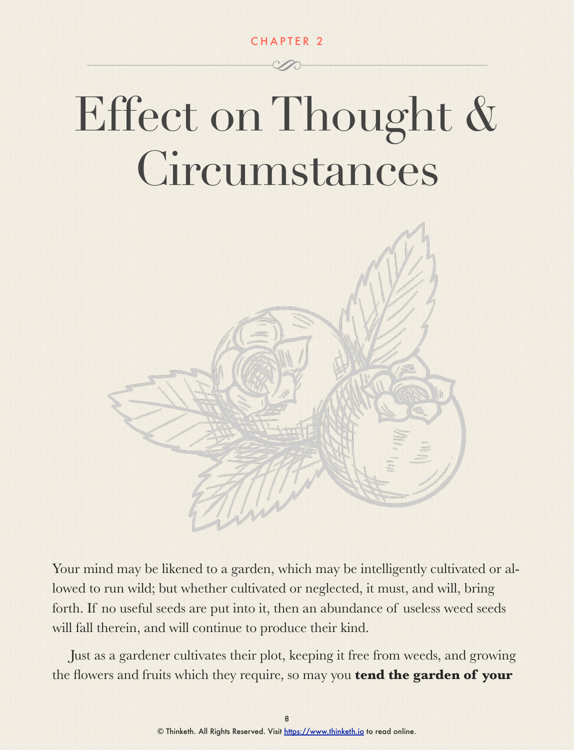CHAPTER 2

### Effect on Thought & Circumstances



Your mind may be likened to a garden, which may be intelligently cultivated or allowed to run wild; but whether cultivated or neglected, it must, and will, bring forth. If no useful seeds are put into it, then an abundance of useless weed seeds will fall therein, and will continue to produce their kind.

Just as a gardener cultivates their plot, keeping it free from weeds, and growing the flowers and fruits which they require, so may you **tend the garden of your**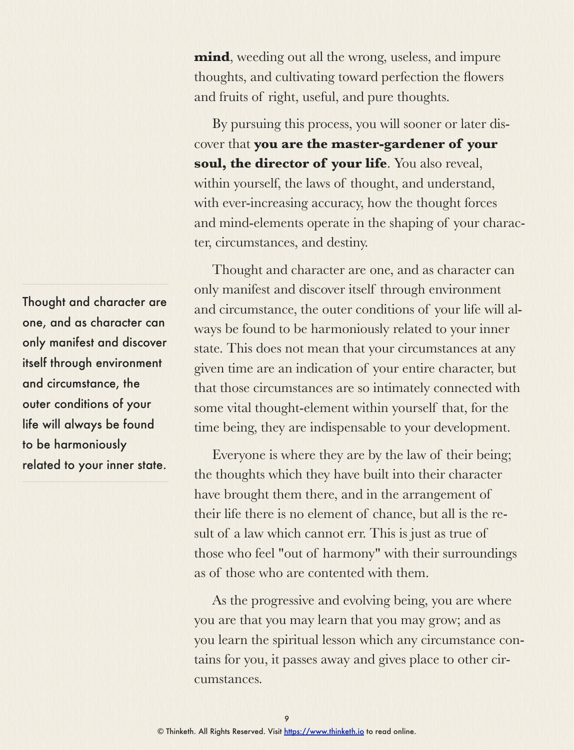Thought and character are one, and as character can only manifest and discover itself through environment and circumstance, the outer conditions of your life will always be found to be harmoniously related to your inner state.

**mind**, weeding out all the wrong, useless, and impure thoughts, and cultivating toward perfection the flowers and fruits of right, useful, and pure thoughts.

By pursuing this process, you will sooner or later discover that **you are the master-gardener of your soul, the director of your life**. You also reveal, within yourself, the laws of thought, and understand, with ever-increasing accuracy, how the thought forces and mind-elements operate in the shaping of your character, circumstances, and destiny.

Thought and character are one, and as character can only manifest and discover itself through environment and circumstance, the outer conditions of your life will always be found to be harmoniously related to your inner state. This does not mean that your circumstances at any given time are an indication of your entire character, but that those circumstances are so intimately connected with some vital thought-element within yourself that, for the time being, they are indispensable to your development.

Everyone is where they are by the law of their being; the thoughts which they have built into their character have brought them there, and in the arrangement of their life there is no element of chance, but all is the result of a law which cannot err. This is just as true of those who feel "out of harmony" with their surroundings as of those who are contented with them.

As the progressive and evolving being, you are where you are that you may learn that you may grow; and as you learn the spiritual lesson which any circumstance contains for you, it passes away and gives place to other circumstances.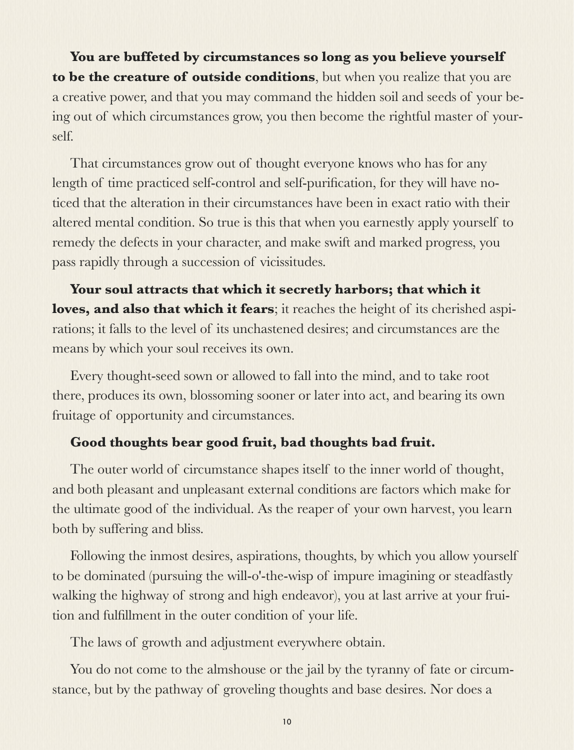**You are buffeted by circumstances so long as you believe yourself to be the creature of outside conditions**, but when you realize that you are a creative power, and that you may command the hidden soil and seeds of your being out of which circumstances grow, you then become the rightful master of yourself.

That circumstances grow out of thought everyone knows who has for any length of time practiced self-control and self-purification, for they will have noticed that the alteration in their circumstances have been in exact ratio with their altered mental condition. So true is this that when you earnestly apply yourself to remedy the defects in your character, and make swift and marked progress, you pass rapidly through a succession of vicissitudes.

**Your soul attracts that which it secretly harbors; that which it loves, and also that which it fears**; it reaches the height of its cherished aspirations; it falls to the level of its unchastened desires; and circumstances are the means by which your soul receives its own.

Every thought-seed sown or allowed to fall into the mind, and to take root there, produces its own, blossoming sooner or later into act, and bearing its own fruitage of opportunity and circumstances.

#### **Good thoughts bear good fruit, bad thoughts bad fruit.**

The outer world of circumstance shapes itself to the inner world of thought, and both pleasant and unpleasant external conditions are factors which make for the ultimate good of the individual. As the reaper of your own harvest, you learn both by suffering and bliss.

Following the inmost desires, aspirations, thoughts, by which you allow yourself to be dominated (pursuing the will-o'-the-wisp of impure imagining or steadfastly walking the highway of strong and high endeavor), you at last arrive at your fruition and fulfillment in the outer condition of your life.

The laws of growth and adjustment everywhere obtain.

You do not come to the almshouse or the jail by the tyranny of fate or circumstance, but by the pathway of groveling thoughts and base desires. Nor does a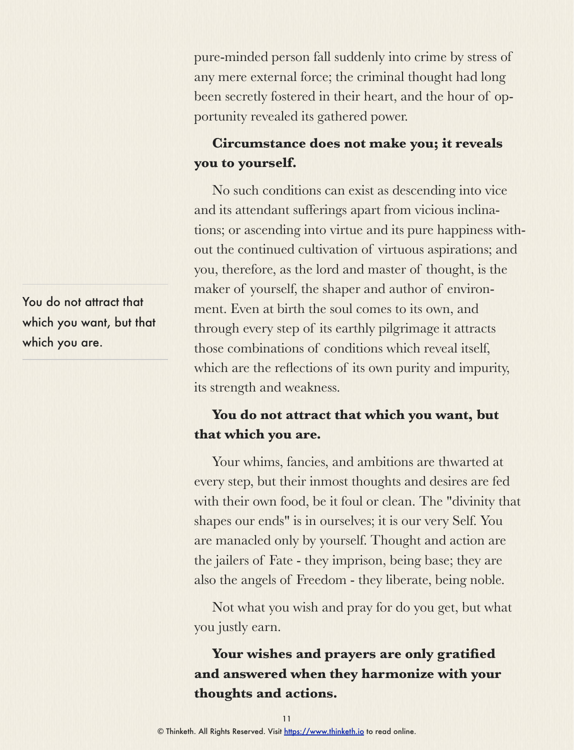pure-minded person fall suddenly into crime by stress of any mere external force; the criminal thought had long been secretly fostered in their heart, and the hour of opportunity revealed its gathered power.

### **Circumstance does not make you; it reveals you to yourself.**

No such conditions can exist as descending into vice and its attendant sufferings apart from vicious inclinations; or ascending into virtue and its pure happiness without the continued cultivation of virtuous aspirations; and you, therefore, as the lord and master of thought, is the maker of yourself, the shaper and author of environment. Even at birth the soul comes to its own, and through every step of its earthly pilgrimage it attracts those combinations of conditions which reveal itself, which are the reflections of its own purity and impurity, its strength and weakness.

#### **You do not attract that which you want, but that which you are.**

Your whims, fancies, and ambitions are thwarted at every step, but their inmost thoughts and desires are fed with their own food, be it foul or clean. The "divinity that shapes our ends" is in ourselves; it is our very Self. You are manacled only by yourself. Thought and action are the jailers of Fate - they imprison, being base; they are also the angels of Freedom - they liberate, being noble.

Not what you wish and pray for do you get, but what you justly earn.

**Your wishes and prayers are only gratified and answered when they harmonize with your thoughts and actions.**

You do not attract that which you want, but that which you are.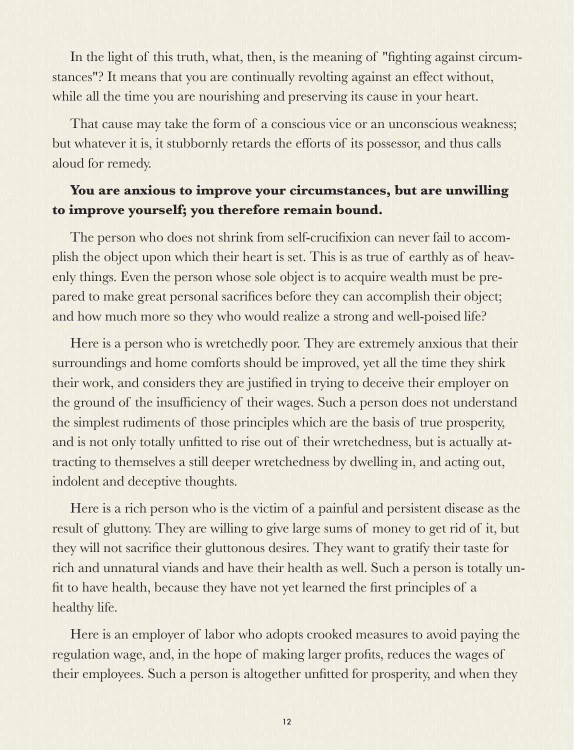In the light of this truth, what, then, is the meaning of "fighting against circumstances"? It means that you are continually revolting against an effect without, while all the time you are nourishing and preserving its cause in your heart.

That cause may take the form of a conscious vice or an unconscious weakness; but whatever it is, it stubbornly retards the efforts of its possessor, and thus calls aloud for remedy.

#### **You are anxious to improve your circumstances, but are unwilling to improve yourself; you therefore remain bound.**

The person who does not shrink from self-crucifixion can never fail to accomplish the object upon which their heart is set. This is as true of earthly as of heavenly things. Even the person whose sole object is to acquire wealth must be prepared to make great personal sacrifices before they can accomplish their object; and how much more so they who would realize a strong and well-poised life?

Here is a person who is wretchedly poor. They are extremely anxious that their surroundings and home comforts should be improved, yet all the time they shirk their work, and considers they are justified in trying to deceive their employer on the ground of the insufficiency of their wages. Such a person does not understand the simplest rudiments of those principles which are the basis of true prosperity, and is not only totally unfitted to rise out of their wretchedness, but is actually attracting to themselves a still deeper wretchedness by dwelling in, and acting out, indolent and deceptive thoughts.

Here is a rich person who is the victim of a painful and persistent disease as the result of gluttony. They are willing to give large sums of money to get rid of it, but they will not sacrifice their gluttonous desires. They want to gratify their taste for rich and unnatural viands and have their health as well. Such a person is totally unfit to have health, because they have not yet learned the first principles of a healthy life.

Here is an employer of labor who adopts crooked measures to avoid paying the regulation wage, and, in the hope of making larger profits, reduces the wages of their employees. Such a person is altogether unfitted for prosperity, and when they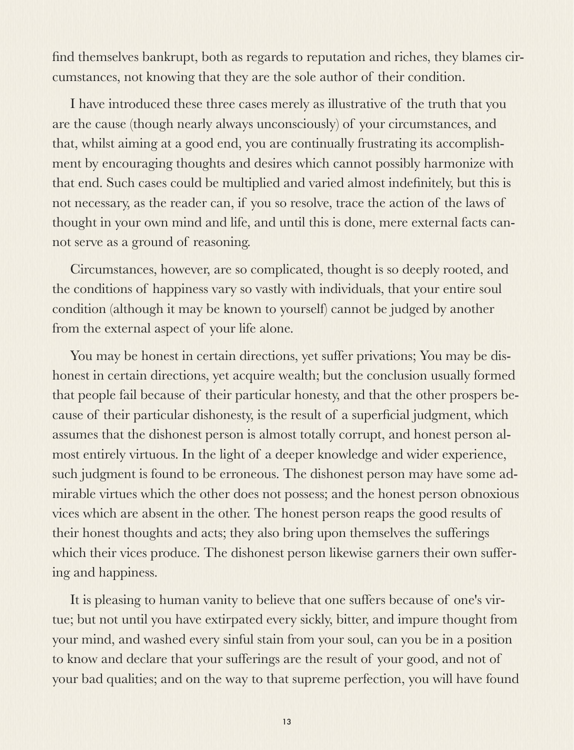find themselves bankrupt, both as regards to reputation and riches, they blames circumstances, not knowing that they are the sole author of their condition.

I have introduced these three cases merely as illustrative of the truth that you are the cause (though nearly always unconsciously) of your circumstances, and that, whilst aiming at a good end, you are continually frustrating its accomplishment by encouraging thoughts and desires which cannot possibly harmonize with that end. Such cases could be multiplied and varied almost indefinitely, but this is not necessary, as the reader can, if you so resolve, trace the action of the laws of thought in your own mind and life, and until this is done, mere external facts cannot serve as a ground of reasoning.

Circumstances, however, are so complicated, thought is so deeply rooted, and the conditions of happiness vary so vastly with individuals, that your entire soul condition (although it may be known to yourself) cannot be judged by another from the external aspect of your life alone.

You may be honest in certain directions, yet suffer privations; You may be dishonest in certain directions, yet acquire wealth; but the conclusion usually formed that people fail because of their particular honesty, and that the other prospers because of their particular dishonesty, is the result of a superficial judgment, which assumes that the dishonest person is almost totally corrupt, and honest person almost entirely virtuous. In the light of a deeper knowledge and wider experience, such judgment is found to be erroneous. The dishonest person may have some admirable virtues which the other does not possess; and the honest person obnoxious vices which are absent in the other. The honest person reaps the good results of their honest thoughts and acts; they also bring upon themselves the sufferings which their vices produce. The dishonest person likewise garners their own suffering and happiness.

It is pleasing to human vanity to believe that one suffers because of one's virtue; but not until you have extirpated every sickly, bitter, and impure thought from your mind, and washed every sinful stain from your soul, can you be in a position to know and declare that your sufferings are the result of your good, and not of your bad qualities; and on the way to that supreme perfection, you will have found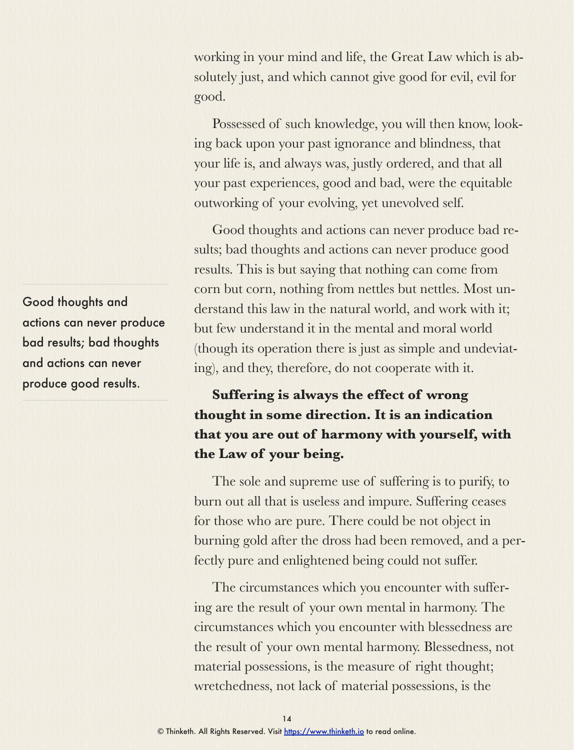working in your mind and life, the Great Law which is absolutely just, and which cannot give good for evil, evil for good.

Possessed of such knowledge, you will then know, looking back upon your past ignorance and blindness, that your life is, and always was, justly ordered, and that all your past experiences, good and bad, were the equitable outworking of your evolving, yet unevolved self.

Good thoughts and actions can never produce bad results; bad thoughts and actions can never produce good results. This is but saying that nothing can come from corn but corn, nothing from nettles but nettles. Most understand this law in the natural world, and work with it; but few understand it in the mental and moral world (though its operation there is just as simple and undeviating), and they, therefore, do not cooperate with it.

### **Suffering is always the effect of wrong thought in some direction. It is an indication that you are out of harmony with yourself, with the Law of your being.**

The sole and supreme use of suffering is to purify, to burn out all that is useless and impure. Suffering ceases for those who are pure. There could be not object in burning gold after the dross had been removed, and a perfectly pure and enlightened being could not suffer.

The circumstances which you encounter with suffering are the result of your own mental in harmony. The circumstances which you encounter with blessedness are the result of your own mental harmony. Blessedness, not material possessions, is the measure of right thought; wretchedness, not lack of material possessions, is the

Good thoughts and actions can never produce bad results; bad thoughts and actions can never produce good results.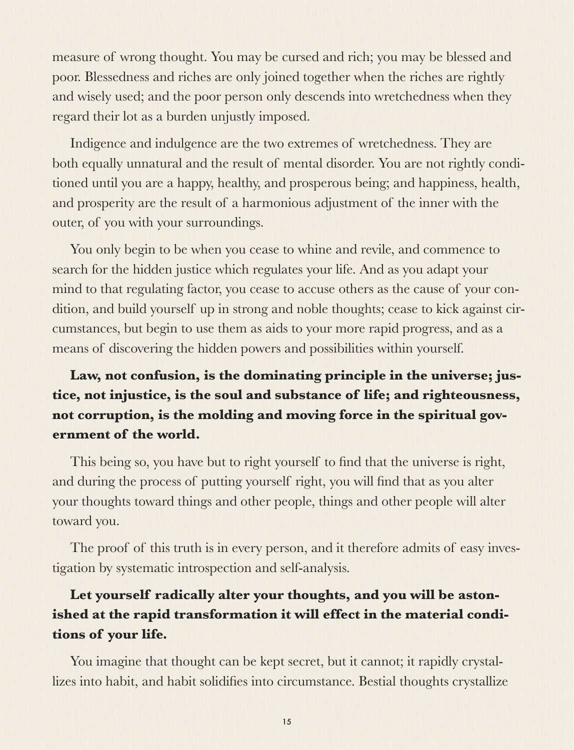measure of wrong thought. You may be cursed and rich; you may be blessed and poor. Blessedness and riches are only joined together when the riches are rightly and wisely used; and the poor person only descends into wretchedness when they regard their lot as a burden unjustly imposed.

Indigence and indulgence are the two extremes of wretchedness. They are both equally unnatural and the result of mental disorder. You are not rightly conditioned until you are a happy, healthy, and prosperous being; and happiness, health, and prosperity are the result of a harmonious adjustment of the inner with the outer, of you with your surroundings.

You only begin to be when you cease to whine and revile, and commence to search for the hidden justice which regulates your life. And as you adapt your mind to that regulating factor, you cease to accuse others as the cause of your condition, and build yourself up in strong and noble thoughts; cease to kick against circumstances, but begin to use them as aids to your more rapid progress, and as a means of discovering the hidden powers and possibilities within yourself.

### **Law, not confusion, is the dominating principle in the universe; justice, not injustice, is the soul and substance of life; and righteousness, not corruption, is the molding and moving force in the spiritual government of the world.**

This being so, you have but to right yourself to find that the universe is right, and during the process of putting yourself right, you will find that as you alter your thoughts toward things and other people, things and other people will alter toward you.

The proof of this truth is in every person, and it therefore admits of easy investigation by systematic introspection and self-analysis.

### **Let yourself radically alter your thoughts, and you will be astonished at the rapid transformation it will effect in the material conditions of your life.**

You imagine that thought can be kept secret, but it cannot; it rapidly crystallizes into habit, and habit solidifies into circumstance. Bestial thoughts crystallize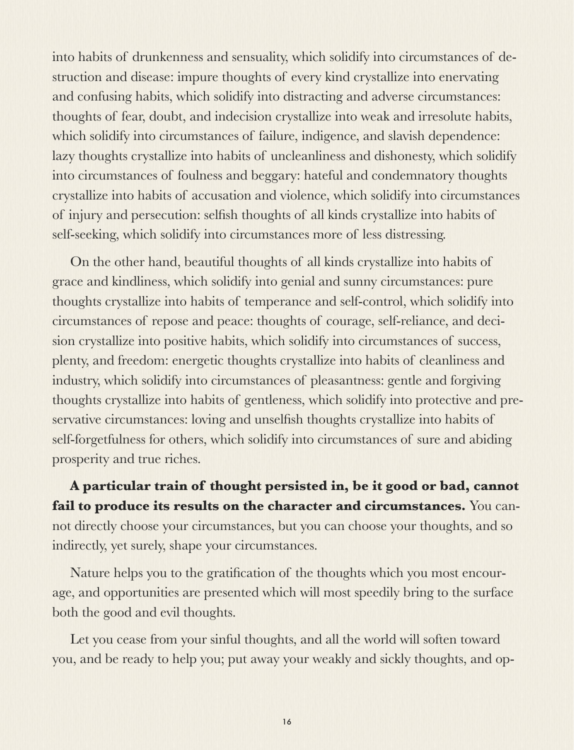into habits of drunkenness and sensuality, which solidify into circumstances of destruction and disease: impure thoughts of every kind crystallize into enervating and confusing habits, which solidify into distracting and adverse circumstances: thoughts of fear, doubt, and indecision crystallize into weak and irresolute habits, which solidify into circumstances of failure, indigence, and slavish dependence: lazy thoughts crystallize into habits of uncleanliness and dishonesty, which solidify into circumstances of foulness and beggary: hateful and condemnatory thoughts crystallize into habits of accusation and violence, which solidify into circumstances of injury and persecution: selfish thoughts of all kinds crystallize into habits of self-seeking, which solidify into circumstances more of less distressing.

On the other hand, beautiful thoughts of all kinds crystallize into habits of grace and kindliness, which solidify into genial and sunny circumstances: pure thoughts crystallize into habits of temperance and self-control, which solidify into circumstances of repose and peace: thoughts of courage, self-reliance, and decision crystallize into positive habits, which solidify into circumstances of success, plenty, and freedom: energetic thoughts crystallize into habits of cleanliness and industry, which solidify into circumstances of pleasantness: gentle and forgiving thoughts crystallize into habits of gentleness, which solidify into protective and preservative circumstances: loving and unselfish thoughts crystallize into habits of self-forgetfulness for others, which solidify into circumstances of sure and abiding prosperity and true riches.

**A particular train of thought persisted in, be it good or bad, cannot fail to produce its results on the character and circumstances.** You cannot directly choose your circumstances, but you can choose your thoughts, and so indirectly, yet surely, shape your circumstances.

Nature helps you to the gratification of the thoughts which you most encourage, and opportunities are presented which will most speedily bring to the surface both the good and evil thoughts.

Let you cease from your sinful thoughts, and all the world will soften toward you, and be ready to help you; put away your weakly and sickly thoughts, and op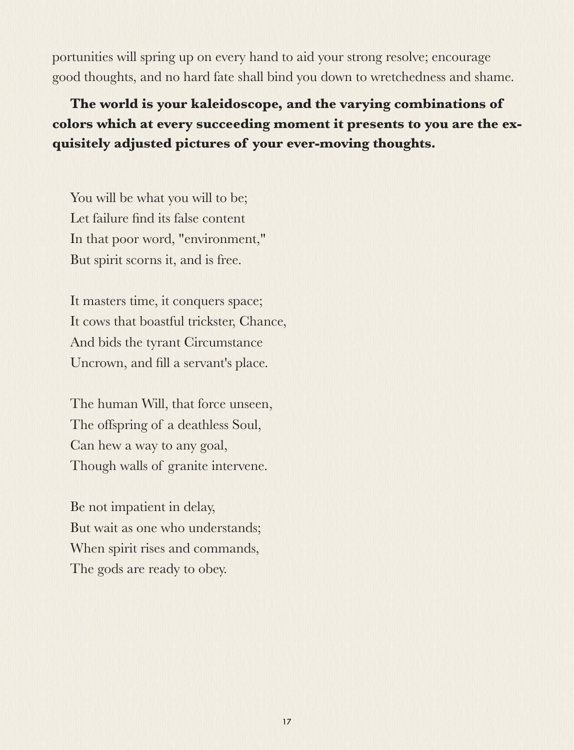portunities will spring up on every hand to aid your strong resolve; encourage good thoughts, and no hard fate shall bind you down to wretchedness and shame.

**The world is your kaleidoscope, and the varying combinations of colors which at every succeeding moment it presents to you are the exquisitely adjusted pictures of your ever-moving thoughts.**

You will be what you will to be; Let failure find its false content In that poor word, "environment," But spirit scorns it, and is free.

It masters time, it conquers space; It cows that boastful trickster, Chance, And bids the tyrant Circumstance Uncrown, and fill a servant's place.

The human Will, that force unseen, The offspring of a deathless Soul, Can hew a way to any goal, Though walls of granite intervene.

Be not impatient in delay, But wait as one who understands; When spirit rises and commands, The gods are ready to obey.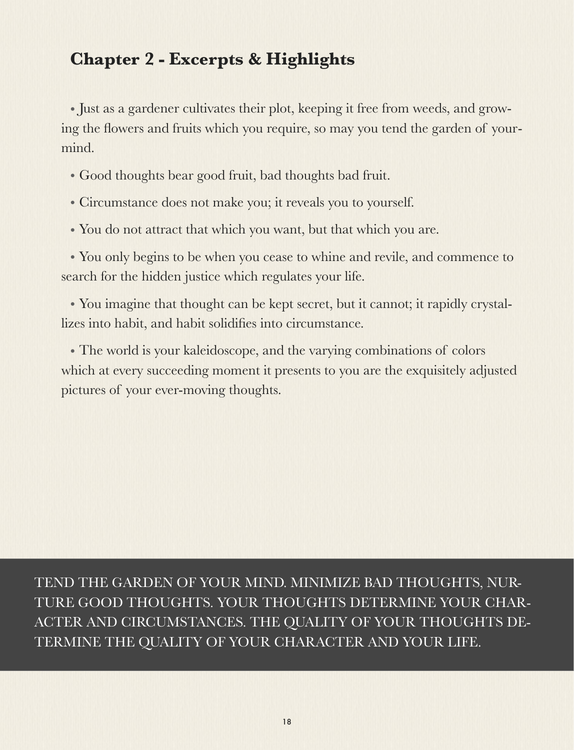### **Chapter 2 - Excerpts & Highlights**

• Just as a gardener cultivates their plot, keeping it free from weeds, and growing the flowers and fruits which you require, so may you tend the garden of yourmind.

- Good thoughts bear good fruit, bad thoughts bad fruit.
- Circumstance does not make you; it reveals you to yourself.
- You do not attract that which you want, but that which you are.

• You only begins to be when you cease to whine and revile, and commence to search for the hidden justice which regulates your life.

• You imagine that thought can be kept secret, but it cannot; it rapidly crystallizes into habit, and habit solidifies into circumstance.

• The world is your kaleidoscope, and the varying combinations of colors which at every succeeding moment it presents to you are the exquisitely adjusted pictures of your ever-moving thoughts.

TEND THE GARDEN OF YOUR MIND. MINIMIZE BAD THOUGHTS, NUR-TURE GOOD THOUGHTS. YOUR THOUGHTS DETERMINE YOUR CHAR-ACTER AND CIRCUMSTANCES. THE QUALITY OF YOUR THOUGHTS DE-TERMINE THE QUALITY OF YOUR CHARACTER AND YOUR LIFE.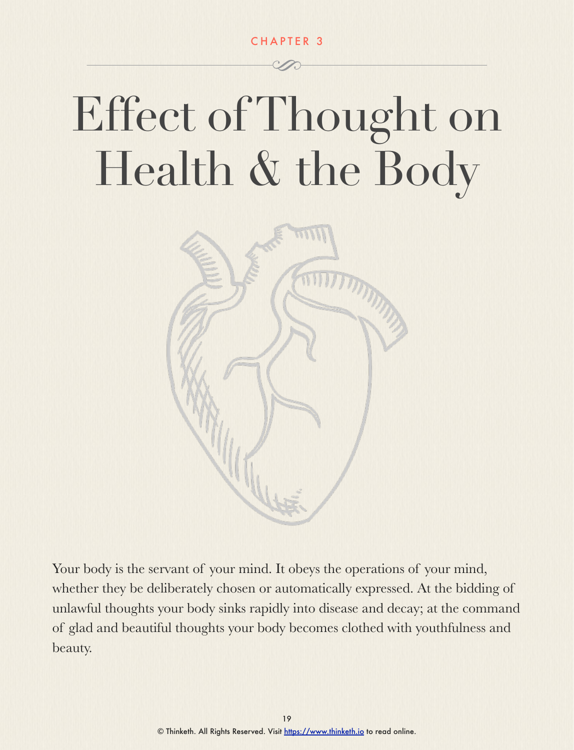CHAPTER 3

## Effect of Thought on Health & the Body



Your body is the servant of your mind. It obeys the operations of your mind, whether they be deliberately chosen or automatically expressed. At the bidding of unlawful thoughts your body sinks rapidly into disease and decay; at the command of glad and beautiful thoughts your body becomes clothed with youthfulness and beauty.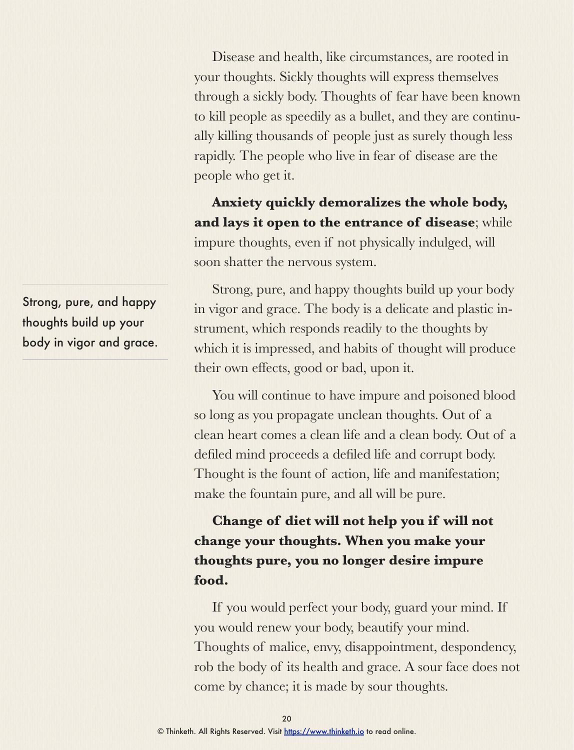Disease and health, like circumstances, are rooted in your thoughts. Sickly thoughts will express themselves through a sickly body. Thoughts of fear have been known to kill people as speedily as a bullet, and they are continually killing thousands of people just as surely though less rapidly. The people who live in fear of disease are the people who get it.

**Anxiety quickly demoralizes the whole body, and lays it open to the entrance of disease**; while impure thoughts, even if not physically indulged, will soon shatter the nervous system.

Strong, pure, and happy thoughts build up your body in vigor and grace. The body is a delicate and plastic instrument, which responds readily to the thoughts by which it is impressed, and habits of thought will produce their own effects, good or bad, upon it.

You will continue to have impure and poisoned blood so long as you propagate unclean thoughts. Out of a clean heart comes a clean life and a clean body. Out of a defiled mind proceeds a defiled life and corrupt body. Thought is the fount of action, life and manifestation; make the fountain pure, and all will be pure.

### **Change of diet will not help you if will not change your thoughts. When you make your thoughts pure, you no longer desire impure food.**

If you would perfect your body, guard your mind. If you would renew your body, beautify your mind. Thoughts of malice, envy, disappointment, despondency, rob the body of its health and grace. A sour face does not come by chance; it is made by sour thoughts.

Strong, pure, and happy thoughts build up your body in vigor and grace.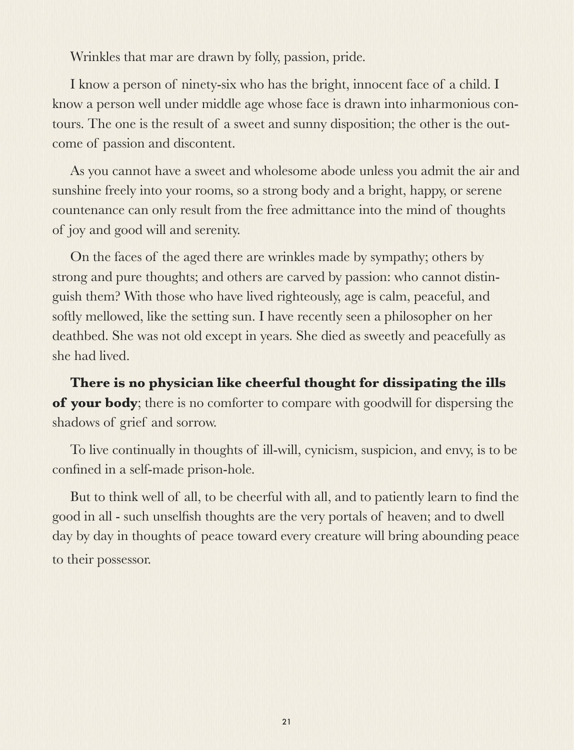Wrinkles that mar are drawn by folly, passion, pride.

I know a person of ninety-six who has the bright, innocent face of a child. I know a person well under middle age whose face is drawn into inharmonious contours. The one is the result of a sweet and sunny disposition; the other is the outcome of passion and discontent.

As you cannot have a sweet and wholesome abode unless you admit the air and sunshine freely into your rooms, so a strong body and a bright, happy, or serene countenance can only result from the free admittance into the mind of thoughts of joy and good will and serenity.

On the faces of the aged there are wrinkles made by sympathy; others by strong and pure thoughts; and others are carved by passion: who cannot distinguish them? With those who have lived righteously, age is calm, peaceful, and softly mellowed, like the setting sun. I have recently seen a philosopher on her deathbed. She was not old except in years. She died as sweetly and peacefully as she had lived.

**There is no physician like cheerful thought for dissipating the ills of your body**; there is no comforter to compare with goodwill for dispersing the shadows of grief and sorrow.

To live continually in thoughts of ill-will, cynicism, suspicion, and envy, is to be confined in a self-made prison-hole.

But to think well of all, to be cheerful with all, and to patiently learn to find the good in all - such unselfish thoughts are the very portals of heaven; and to dwell day by day in thoughts of peace toward every creature will bring abounding peace to their possessor.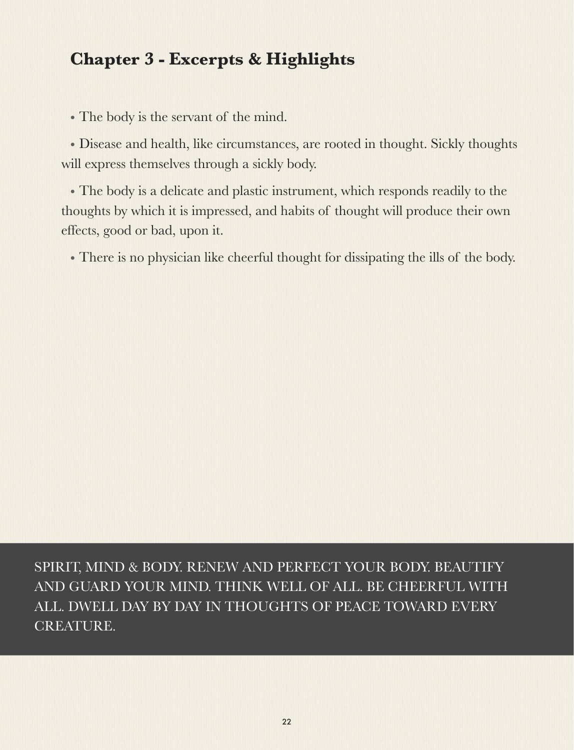### **Chapter 3 - Excerpts & Highlights**

• The body is the servant of the mind.

• Disease and health, like circumstances, are rooted in thought. Sickly thoughts will express themselves through a sickly body.

• The body is a delicate and plastic instrument, which responds readily to the thoughts by which it is impressed, and habits of thought will produce their own effects, good or bad, upon it.

• There is no physician like cheerful thought for dissipating the ills of the body.

SPIRIT, MIND & BODY. RENEW AND PERFECT YOUR BODY. BEAUTIFY AND GUARD YOUR MIND. THINK WELL OF ALL. BE CHEERFUL WITH ALL. DWELL DAY BY DAY IN THOUGHTS OF PEACE TOWARD EVERY CREATURE.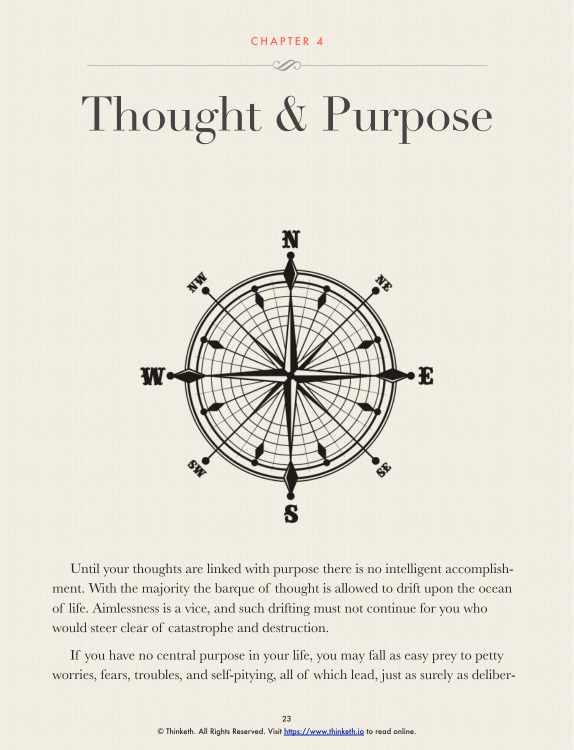CHAPTER 4

# Thought & Purpose



Until your thoughts are linked with purpose there is no intelligent accomplishment. With the majority the barque of thought is allowed to drift upon the ocean of life. Aimlessness is a vice, and such drifting must not continue for you who would steer clear of catastrophe and destruction.

If you have no central purpose in your life, you may fall as easy prey to petty worries, fears, troubles, and self-pitying, all of which lead, just as surely as deliber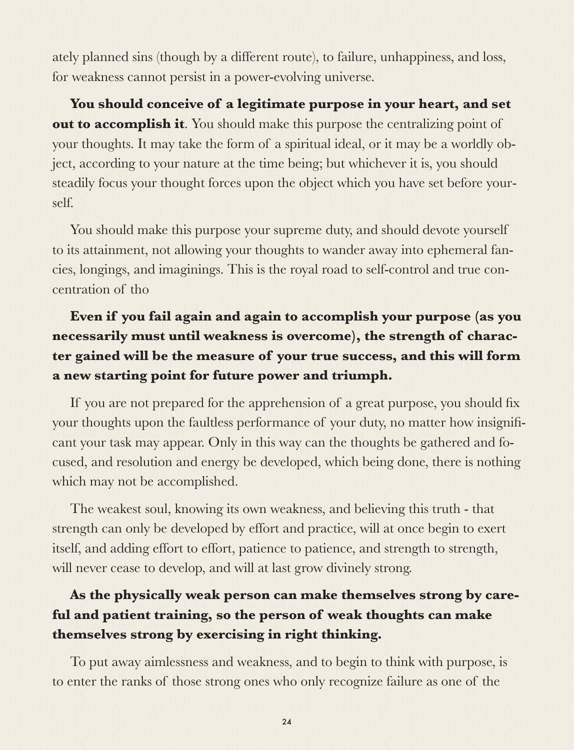ately planned sins (though by a different route), to failure, unhappiness, and loss, for weakness cannot persist in a power-evolving universe.

**You should conceive of a legitimate purpose in your heart, and set out to accomplish it**. You should make this purpose the centralizing point of your thoughts. It may take the form of a spiritual ideal, or it may be a worldly object, according to your nature at the time being; but whichever it is, you should steadily focus your thought forces upon the object which you have set before yourself.

You should make this purpose your supreme duty, and should devote yourself to its attainment, not allowing your thoughts to wander away into ephemeral fancies, longings, and imaginings. This is the royal road to self-control and true concentration of tho

### **Even if you fail again and again to accomplish your purpose (as you necessarily must until weakness is overcome), the strength of character gained will be the measure of your true success, and this will form a new starting point for future power and triumph.**

If you are not prepared for the apprehension of a great purpose, you should fix your thoughts upon the faultless performance of your duty, no matter how insignificant your task may appear. Only in this way can the thoughts be gathered and focused, and resolution and energy be developed, which being done, there is nothing which may not be accomplished.

The weakest soul, knowing its own weakness, and believing this truth - that strength can only be developed by effort and practice, will at once begin to exert itself, and adding effort to effort, patience to patience, and strength to strength, will never cease to develop, and will at last grow divinely strong.

### **As the physically weak person can make themselves strong by careful and patient training, so the person of weak thoughts can make themselves strong by exercising in right thinking.**

To put away aimlessness and weakness, and to begin to think with purpose, is to enter the ranks of those strong ones who only recognize failure as one of the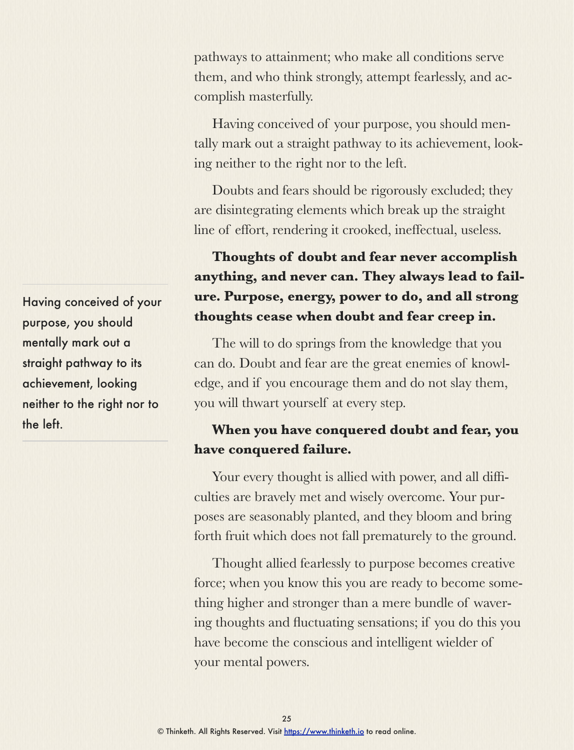pathways to attainment; who make all conditions serve them, and who think strongly, attempt fearlessly, and accomplish masterfully.

Having conceived of your purpose, you should mentally mark out a straight pathway to its achievement, looking neither to the right nor to the left.

Doubts and fears should be rigorously excluded; they are disintegrating elements which break up the straight line of effort, rendering it crooked, ineffectual, useless.

### **Thoughts of doubt and fear never accomplish anything, and never can. They always lead to failure. Purpose, energy, power to do, and all strong thoughts cease when doubt and fear creep in.**

The will to do springs from the knowledge that you can do. Doubt and fear are the great enemies of knowledge, and if you encourage them and do not slay them, you will thwart yourself at every step.

### **When you have conquered doubt and fear, you have conquered failure.**

Your every thought is allied with power, and all difficulties are bravely met and wisely overcome. Your purposes are seasonably planted, and they bloom and bring forth fruit which does not fall prematurely to the ground.

Thought allied fearlessly to purpose becomes creative force; when you know this you are ready to become something higher and stronger than a mere bundle of wavering thoughts and fluctuating sensations; if you do this you have become the conscious and intelligent wielder of your mental powers.

Having conceived of your purpose, you should mentally mark out a straight pathway to its achievement, looking neither to the right nor to the left.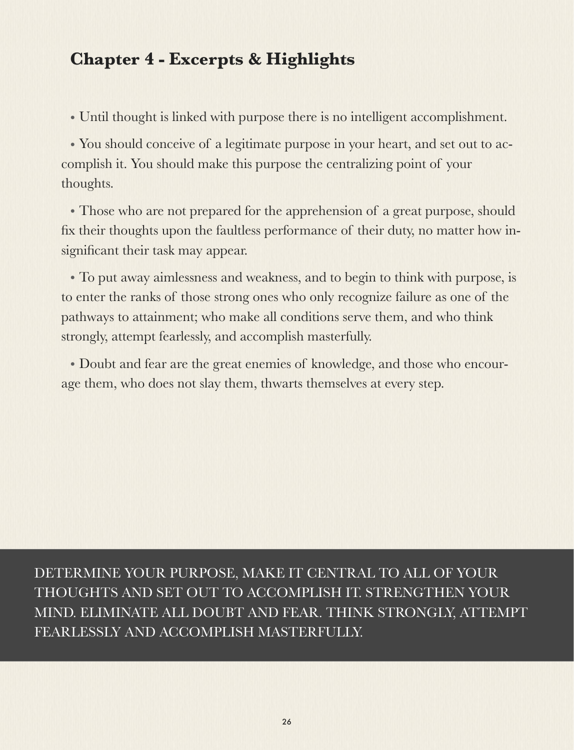### **Chapter 4 - Excerpts & Highlights**

• Until thought is linked with purpose there is no intelligent accomplishment.

• You should conceive of a legitimate purpose in your heart, and set out to accomplish it. You should make this purpose the centralizing point of your thoughts.

• Those who are not prepared for the apprehension of a great purpose, should fix their thoughts upon the faultless performance of their duty, no matter how insignificant their task may appear.

• To put away aimlessness and weakness, and to begin to think with purpose, is to enter the ranks of those strong ones who only recognize failure as one of the pathways to attainment; who make all conditions serve them, and who think strongly, attempt fearlessly, and accomplish masterfully.

• Doubt and fear are the great enemies of knowledge, and those who encourage them, who does not slay them, thwarts themselves at every step.

DETERMINE YOUR PURPOSE, MAKE IT CENTRAL TO ALL OF YOUR THOUGHTS AND SET OUT TO ACCOMPLISH IT. STRENGTHEN YOUR MIND. ELIMINATE ALL DOUBT AND FEAR. THINK STRONGLY, ATTEMPT FEARLESSLY AND ACCOMPLISH MASTERFULLY.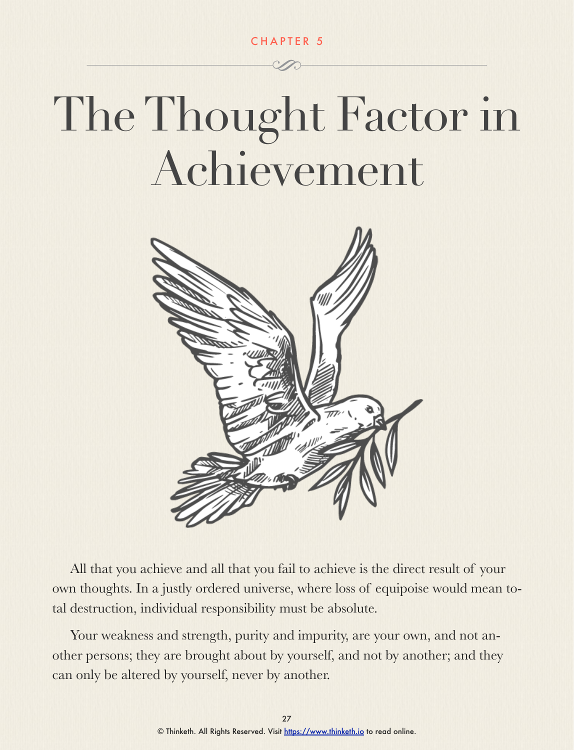CHAPTER 5

### The Thought Factor in Achievement



All that you achieve and all that you fail to achieve is the direct result of your own thoughts. In a justly ordered universe, where loss of equipoise would mean total destruction, individual responsibility must be absolute.

Your weakness and strength, purity and impurity, are your own, and not another persons; they are brought about by yourself, and not by another; and they can only be altered by yourself, never by another.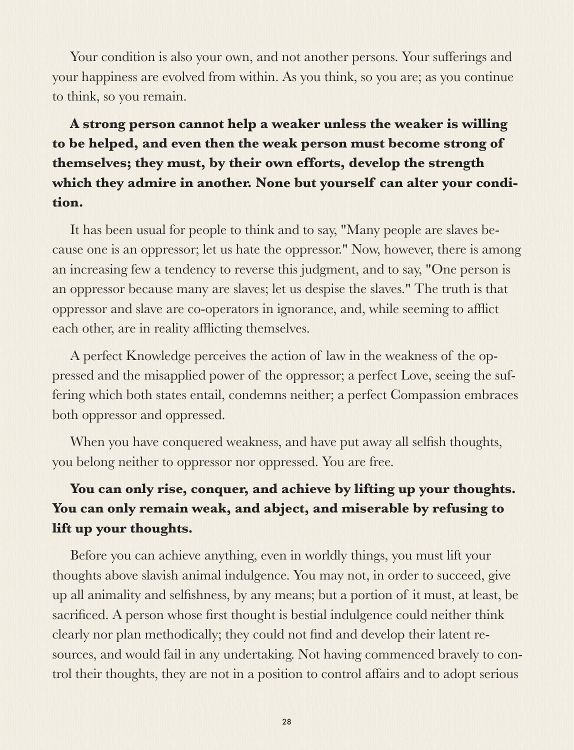Your condition is also your own, and not another persons. Your sufferings and your happiness are evolved from within. As you think, so you are; as you continue to think, so you remain.

### **A strong person cannot help a weaker unless the weaker is willing to be helped, and even then the weak person must become strong of themselves; they must, by their own efforts, develop the strength which they admire in another. None but yourself can alter your condition.**

It has been usual for people to think and to say, "Many people are slaves because one is an oppressor; let us hate the oppressor." Now, however, there is among an increasing few a tendency to reverse this judgment, and to say, "One person is an oppressor because many are slaves; let us despise the slaves." The truth is that oppressor and slave are co-operators in ignorance, and, while seeming to afflict each other, are in reality afflicting themselves.

A perfect Knowledge perceives the action of law in the weakness of the oppressed and the misapplied power of the oppressor; a perfect Love, seeing the suffering which both states entail, condemns neither; a perfect Compassion embraces both oppressor and oppressed.

When you have conquered weakness, and have put away all selfish thoughts, you belong neither to oppressor nor oppressed. You are free.

### **You can only rise, conquer, and achieve by lifting up your thoughts. You can only remain weak, and abject, and miserable by refusing to lift up your thoughts.**

Before you can achieve anything, even in worldly things, you must lift your thoughts above slavish animal indulgence. You may not, in order to succeed, give up all animality and selfishness, by any means; but a portion of it must, at least, be sacrificed. A person whose first thought is bestial indulgence could neither think clearly nor plan methodically; they could not find and develop their latent resources, and would fail in any undertaking. Not having commenced bravely to control their thoughts, they are not in a position to control affairs and to adopt serious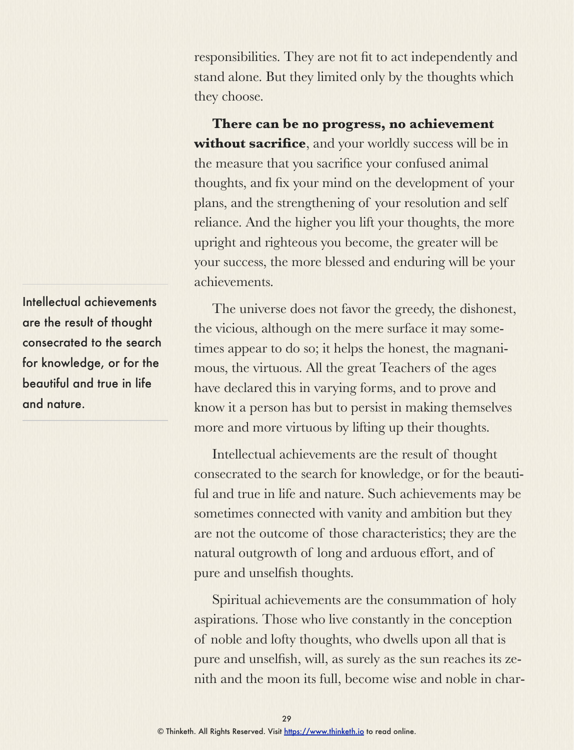responsibilities. They are not fit to act independently and stand alone. But they limited only by the thoughts which they choose.

**There can be no progress, no achievement without sacrifice**, and your worldly success will be in the measure that you sacrifice your confused animal thoughts, and fix your mind on the development of your plans, and the strengthening of your resolution and self reliance. And the higher you lift your thoughts, the more upright and righteous you become, the greater will be your success, the more blessed and enduring will be your achievements.

The universe does not favor the greedy, the dishonest, the vicious, although on the mere surface it may sometimes appear to do so; it helps the honest, the magnanimous, the virtuous. All the great Teachers of the ages have declared this in varying forms, and to prove and know it a person has but to persist in making themselves more and more virtuous by lifting up their thoughts.

Intellectual achievements are the result of thought consecrated to the search for knowledge, or for the beautiful and true in life and nature. Such achievements may be sometimes connected with vanity and ambition but they are not the outcome of those characteristics; they are the natural outgrowth of long and arduous effort, and of pure and unselfish thoughts.

Spiritual achievements are the consummation of holy aspirations. Those who live constantly in the conception of noble and lofty thoughts, who dwells upon all that is pure and unselfish, will, as surely as the sun reaches its zenith and the moon its full, become wise and noble in char-

Intellectual achievements are the result of thought consecrated to the search for knowledge, or for the beautiful and true in life and nature.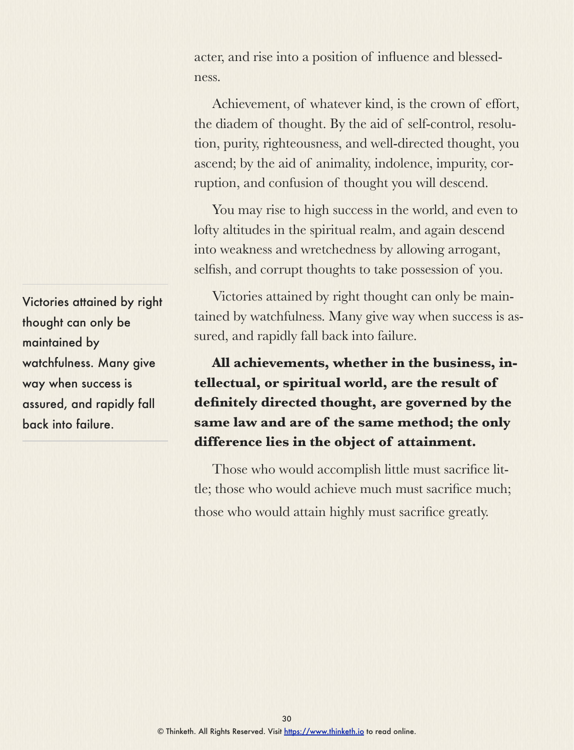acter, and rise into a position of influence and blessedness.

Achievement, of whatever kind, is the crown of effort, the diadem of thought. By the aid of self-control, resolution, purity, righteousness, and well-directed thought, you ascend; by the aid of animality, indolence, impurity, corruption, and confusion of thought you will descend.

You may rise to high success in the world, and even to lofty altitudes in the spiritual realm, and again descend into weakness and wretchedness by allowing arrogant, selfish, and corrupt thoughts to take possession of you.

Victories attained by right thought can only be maintained by watchfulness. Many give way when success is assured, and rapidly fall back into failure.

**All achievements, whether in the business, intellectual, or spiritual world, are the result of definitely directed thought, are governed by the same law and are of the same method; the only difference lies in the object of attainment.** 

Those who would accomplish little must sacrifice little; those who would achieve much must sacrifice much; those who would attain highly must sacrifice greatly.

Victories attained by right thought can only be maintained by watchfulness. Many give way when success is assured, and rapidly fall back into failure.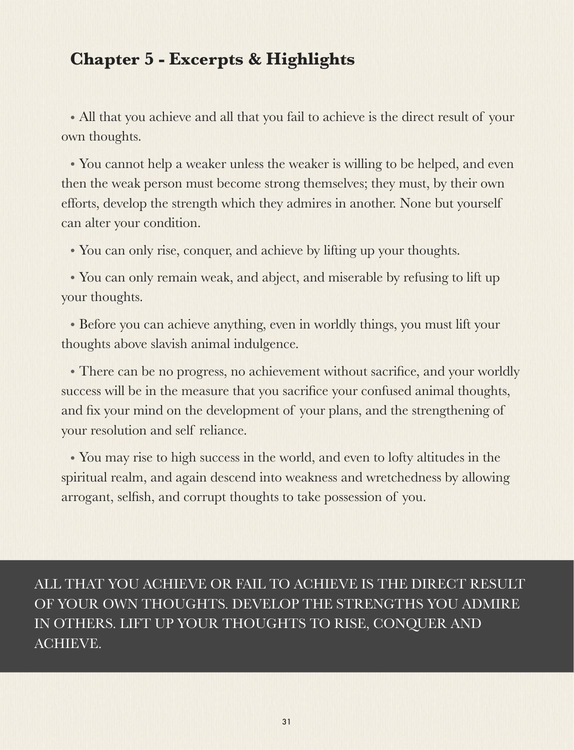### **Chapter 5 - Excerpts & Highlights**

• All that you achieve and all that you fail to achieve is the direct result of your own thoughts.

• You cannot help a weaker unless the weaker is willing to be helped, and even then the weak person must become strong themselves; they must, by their own efforts, develop the strength which they admires in another. None but yourself can alter your condition.

• You can only rise, conquer, and achieve by lifting up your thoughts.

• You can only remain weak, and abject, and miserable by refusing to lift up your thoughts.

• Before you can achieve anything, even in worldly things, you must lift your thoughts above slavish animal indulgence.

• There can be no progress, no achievement without sacrifice, and your worldly success will be in the measure that you sacrifice your confused animal thoughts, and fix your mind on the development of your plans, and the strengthening of your resolution and self reliance.

• You may rise to high success in the world, and even to lofty altitudes in the spiritual realm, and again descend into weakness and wretchedness by allowing arrogant, selfish, and corrupt thoughts to take possession of you.

ALL THAT YOU ACHIEVE OR FAIL TO ACHIEVE IS THE DIRECT RESULT OF YOUR OWN THOUGHTS. DEVELOP THE STRENGTHS YOU ADMIRE IN OTHERS. LIFT UP YOUR THOUGHTS TO RISE, CONQUER AND ACHIEVE.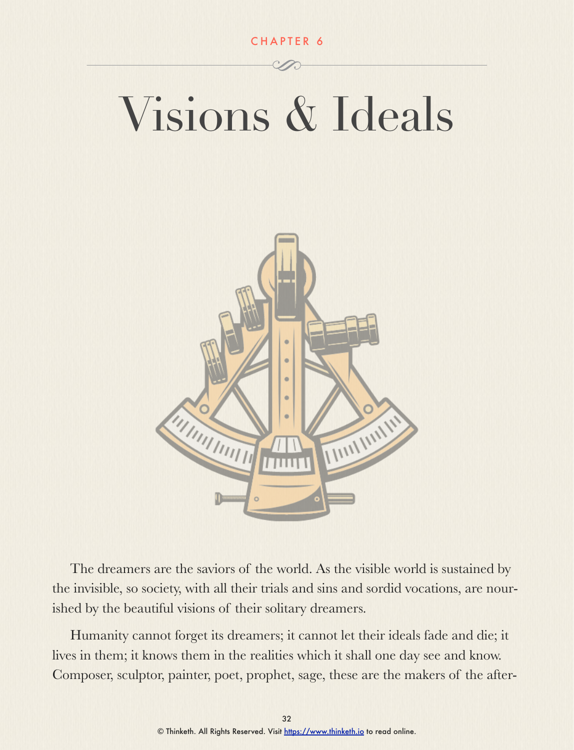### Visions & Ideals



The dreamers are the saviors of the world. As the visible world is sustained by the invisible, so society, with all their trials and sins and sordid vocations, are nourished by the beautiful visions of their solitary dreamers.

Humanity cannot forget its dreamers; it cannot let their ideals fade and die; it lives in them; it knows them in the realities which it shall one day see and know. Composer, sculptor, painter, poet, prophet, sage, these are the makers of the after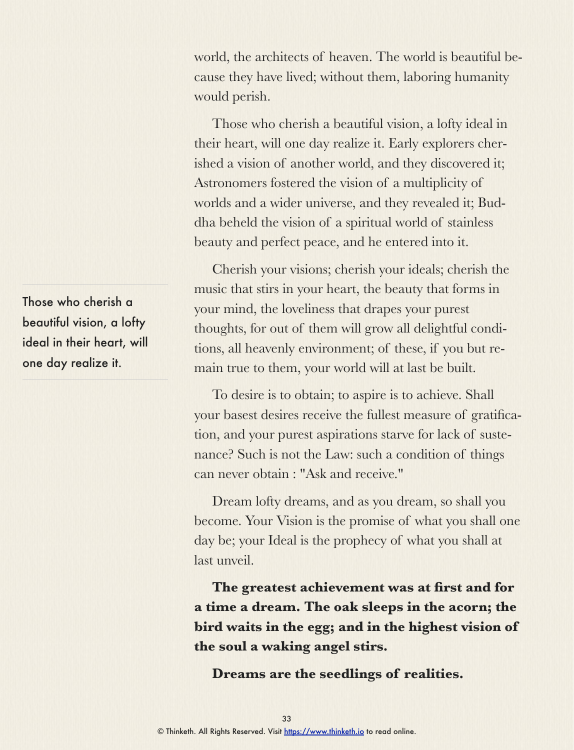world, the architects of heaven. The world is beautiful because they have lived; without them, laboring humanity would perish.

Those who cherish a beautiful vision, a lofty ideal in their heart, will one day realize it. Early explorers cherished a vision of another world, and they discovered it; Astronomers fostered the vision of a multiplicity of worlds and a wider universe, and they revealed it; Buddha beheld the vision of a spiritual world of stainless beauty and perfect peace, and he entered into it.

Cherish your visions; cherish your ideals; cherish the music that stirs in your heart, the beauty that forms in your mind, the loveliness that drapes your purest thoughts, for out of them will grow all delightful conditions, all heavenly environment; of these, if you but remain true to them, your world will at last be built.

To desire is to obtain; to aspire is to achieve. Shall your basest desires receive the fullest measure of gratification, and your purest aspirations starve for lack of sustenance? Such is not the Law: such a condition of things can never obtain : "Ask and receive."

Dream lofty dreams, and as you dream, so shall you become. Your Vision is the promise of what you shall one day be; your Ideal is the prophecy of what you shall at last unveil.

**The greatest achievement was at first and for a time a dream. The oak sleeps in the acorn; the bird waits in the egg; and in the highest vision of the soul a waking angel stirs.** 

**Dreams are the seedlings of realities.** 

Those who cherish a beautiful vision, a lofty ideal in their heart, will one day realize it.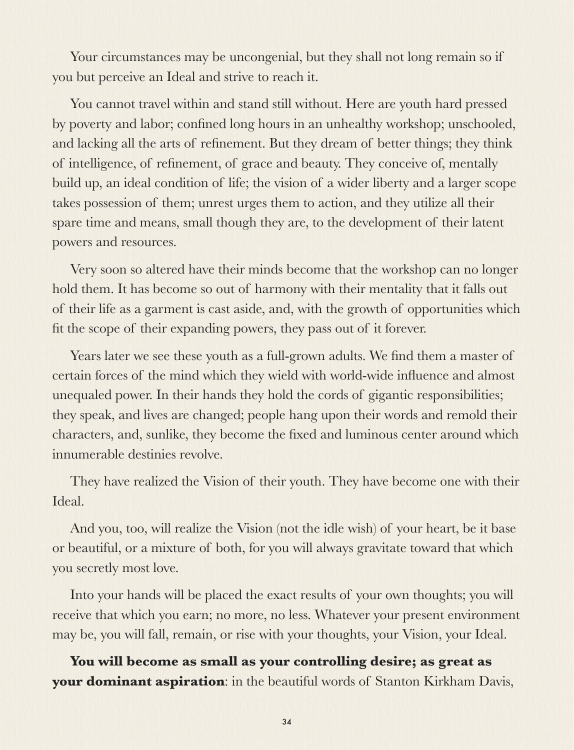Your circumstances may be uncongenial, but they shall not long remain so if you but perceive an Ideal and strive to reach it.

You cannot travel within and stand still without. Here are youth hard pressed by poverty and labor; confined long hours in an unhealthy workshop; unschooled, and lacking all the arts of refinement. But they dream of better things; they think of intelligence, of refinement, of grace and beauty. They conceive of, mentally build up, an ideal condition of life; the vision of a wider liberty and a larger scope takes possession of them; unrest urges them to action, and they utilize all their spare time and means, small though they are, to the development of their latent powers and resources.

Very soon so altered have their minds become that the workshop can no longer hold them. It has become so out of harmony with their mentality that it falls out of their life as a garment is cast aside, and, with the growth of opportunities which fit the scope of their expanding powers, they pass out of it forever.

Years later we see these youth as a full-grown adults. We find them a master of certain forces of the mind which they wield with world-wide influence and almost unequaled power. In their hands they hold the cords of gigantic responsibilities; they speak, and lives are changed; people hang upon their words and remold their characters, and, sunlike, they become the fixed and luminous center around which innumerable destinies revolve.

They have realized the Vision of their youth. They have become one with their Ideal.

And you, too, will realize the Vision (not the idle wish) of your heart, be it base or beautiful, or a mixture of both, for you will always gravitate toward that which you secretly most love.

Into your hands will be placed the exact results of your own thoughts; you will receive that which you earn; no more, no less. Whatever your present environment may be, you will fall, remain, or rise with your thoughts, your Vision, your Ideal.

**You will become as small as your controlling desire; as great as your dominant aspiration**: in the beautiful words of Stanton Kirkham Davis,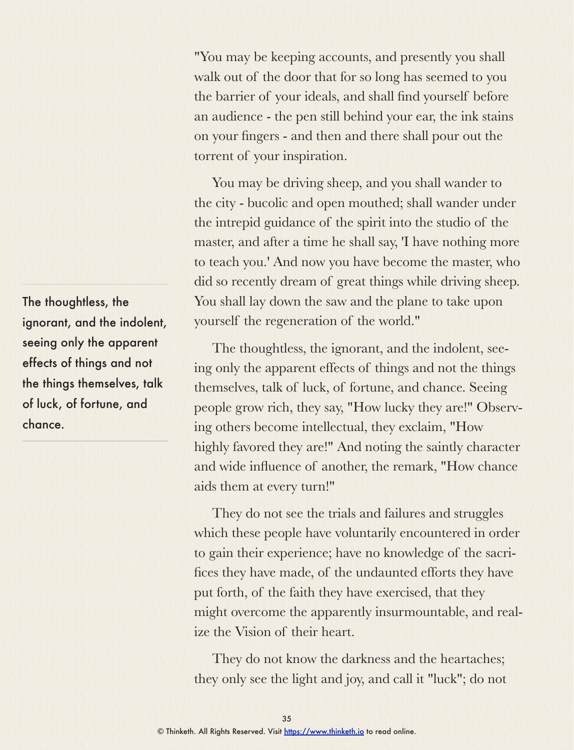"You may be keeping accounts, and presently you shall walk out of the door that for so long has seemed to you the barrier of your ideals, and shall find yourself before an audience - the pen still behind your ear, the ink stains on your fingers - and then and there shall pour out the torrent of your inspiration.

You may be driving sheep, and you shall wander to the city - bucolic and open mouthed; shall wander under the intrepid guidance of the spirit into the studio of the master, and after a time he shall say, 'I have nothing more to teach you.' And now you have become the master, who did so recently dream of great things while driving sheep. You shall lay down the saw and the plane to take upon yourself the regeneration of the world."

The thoughtless, the ignorant, and the indolent, seeing only the apparent effects of things and not the things themselves, talk of luck, of fortune, and chance. Seeing people grow rich, they say, "How lucky they are!" Observing others become intellectual, they exclaim, "How highly favored they are!" And noting the saintly character and wide influence of another, the remark, "How chance aids them at every turn!"

They do not see the trials and failures and struggles which these people have voluntarily encountered in order to gain their experience; have no knowledge of the sacrifices they have made, of the undaunted efforts they have put forth, of the faith they have exercised, that they might overcome the apparently insurmountable, and realize the Vision of their heart.

They do not know the darkness and the heartaches; they only see the light and joy, and call it "luck"; do not

The thoughtless, the ignorant, and the indolent, seeing only the apparent effects of things and not the things themselves, talk of luck, of fortune, and chance.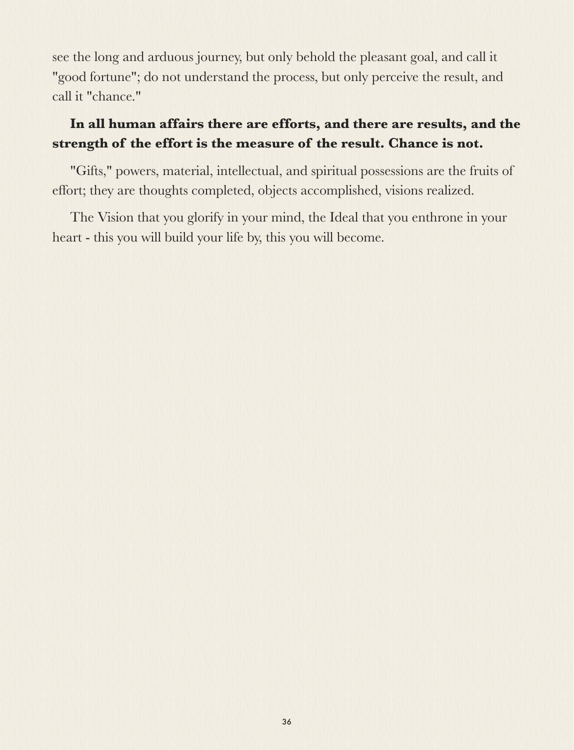see the long and arduous journey, but only behold the pleasant goal, and call it "good fortune"; do not understand the process, but only perceive the result, and call it "chance."

### **In all human affairs there are efforts, and there are results, and the strength of the effort is the measure of the result. Chance is not.**

"Gifts," powers, material, intellectual, and spiritual possessions are the fruits of effort; they are thoughts completed, objects accomplished, visions realized.

The Vision that you glorify in your mind, the Ideal that you enthrone in your heart - this you will build your life by, this you will become.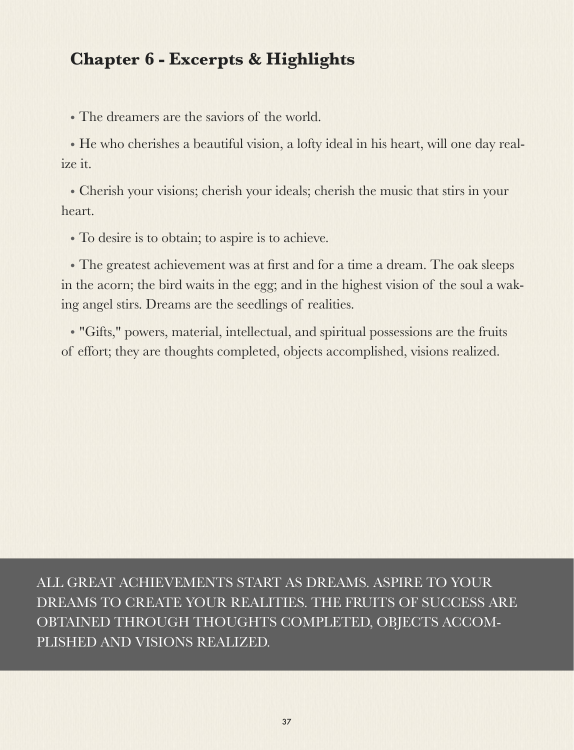### **Chapter 6 - Excerpts & Highlights**

• The dreamers are the saviors of the world.

• He who cherishes a beautiful vision, a lofty ideal in his heart, will one day realize it.

• Cherish your visions; cherish your ideals; cherish the music that stirs in your heart.

• To desire is to obtain; to aspire is to achieve.

• The greatest achievement was at first and for a time a dream. The oak sleeps in the acorn; the bird waits in the egg; and in the highest vision of the soul a waking angel stirs. Dreams are the seedlings of realities.

• "Gifts," powers, material, intellectual, and spiritual possessions are the fruits of effort; they are thoughts completed, objects accomplished, visions realized.

ALL GREAT ACHIEVEMENTS START AS DREAMS. ASPIRE TO YOUR DREAMS TO CREATE YOUR REALITIES. THE FRUITS OF SUCCESS ARE OBTAINED THROUGH THOUGHTS COMPLETED, OBJECTS ACCOM-PLISHED AND VISIONS REALIZED.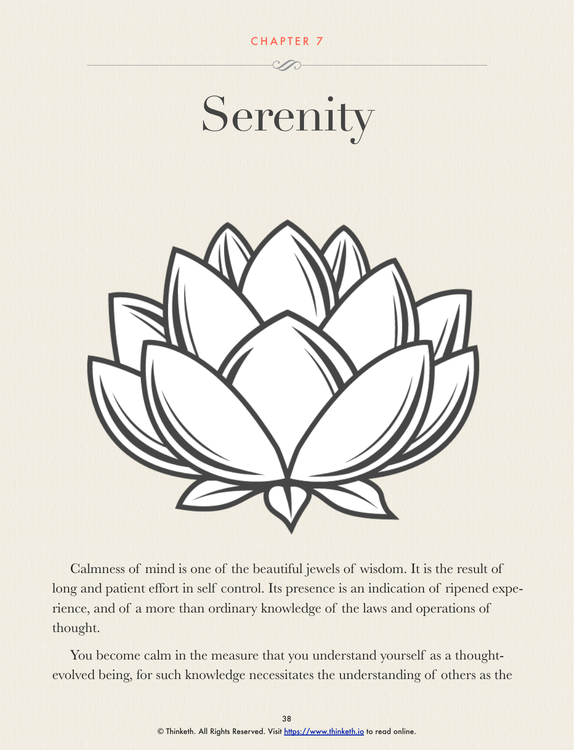

Calmness of mind is one of the beautiful jewels of wisdom. It is the result of long and patient effort in self control. Its presence is an indication of ripened experience, and of a more than ordinary knowledge of the laws and operations of thought.

You become calm in the measure that you understand yourself as a thoughtevolved being, for such knowledge necessitates the understanding of others as the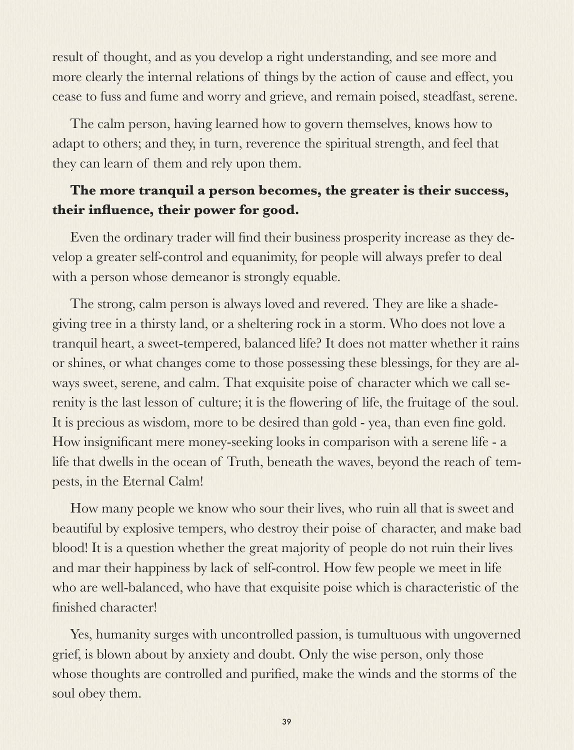result of thought, and as you develop a right understanding, and see more and more clearly the internal relations of things by the action of cause and effect, you cease to fuss and fume and worry and grieve, and remain poised, steadfast, serene.

The calm person, having learned how to govern themselves, knows how to adapt to others; and they, in turn, reverence the spiritual strength, and feel that they can learn of them and rely upon them.

### **The more tranquil a person becomes, the greater is their success, their influence, their power for good.**

Even the ordinary trader will find their business prosperity increase as they develop a greater self-control and equanimity, for people will always prefer to deal with a person whose demeanor is strongly equable.

The strong, calm person is always loved and revered. They are like a shadegiving tree in a thirsty land, or a sheltering rock in a storm. Who does not love a tranquil heart, a sweet-tempered, balanced life? It does not matter whether it rains or shines, or what changes come to those possessing these blessings, for they are always sweet, serene, and calm. That exquisite poise of character which we call serenity is the last lesson of culture; it is the flowering of life, the fruitage of the soul. It is precious as wisdom, more to be desired than gold - yea, than even fine gold. How insignificant mere money-seeking looks in comparison with a serene life - a life that dwells in the ocean of Truth, beneath the waves, beyond the reach of tempests, in the Eternal Calm!

How many people we know who sour their lives, who ruin all that is sweet and beautiful by explosive tempers, who destroy their poise of character, and make bad blood! It is a question whether the great majority of people do not ruin their lives and mar their happiness by lack of self-control. How few people we meet in life who are well-balanced, who have that exquisite poise which is characteristic of the finished character!

Yes, humanity surges with uncontrolled passion, is tumultuous with ungoverned grief, is blown about by anxiety and doubt. Only the wise person, only those whose thoughts are controlled and purified, make the winds and the storms of the soul obey them.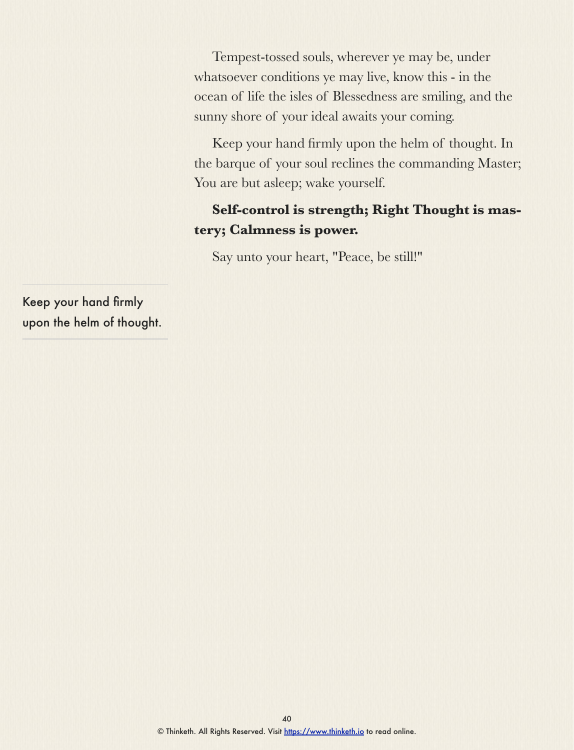Tempest-tossed souls, wherever ye may be, under whatsoever conditions ye may live, know this - in the ocean of life the isles of Blessedness are smiling, and the sunny shore of your ideal awaits your coming.

Keep your hand firmly upon the helm of thought. In the barque of your soul reclines the commanding Master; You are but asleep; wake yourself.

### **Self-control is strength; Right Thought is mastery; Calmness is power.**

Say unto your heart, "Peace, be still!"

Keep your hand firmly upon the helm of thought.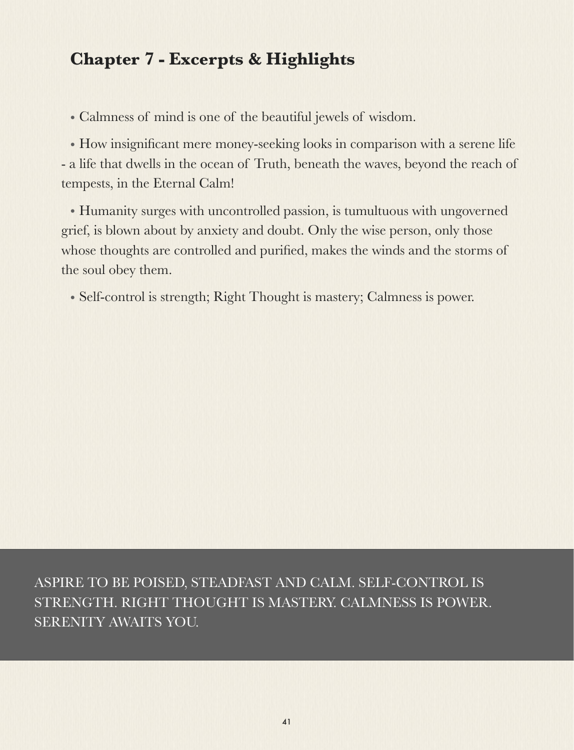### **Chapter 7 - Excerpts & Highlights**

• Calmness of mind is one of the beautiful jewels of wisdom.

• How insignificant mere money-seeking looks in comparison with a serene life - a life that dwells in the ocean of Truth, beneath the waves, beyond the reach of tempests, in the Eternal Calm!

• Humanity surges with uncontrolled passion, is tumultuous with ungoverned grief, is blown about by anxiety and doubt. Only the wise person, only those whose thoughts are controlled and purified, makes the winds and the storms of the soul obey them.

• Self-control is strength; Right Thought is mastery; Calmness is power.

ASPIRE TO BE POISED, STEADFAST AND CALM. SELF-CONTROL IS STRENGTH. RIGHT THOUGHT IS MASTERY. CALMNESS IS POWER. SERENITY AWAITS YOU.